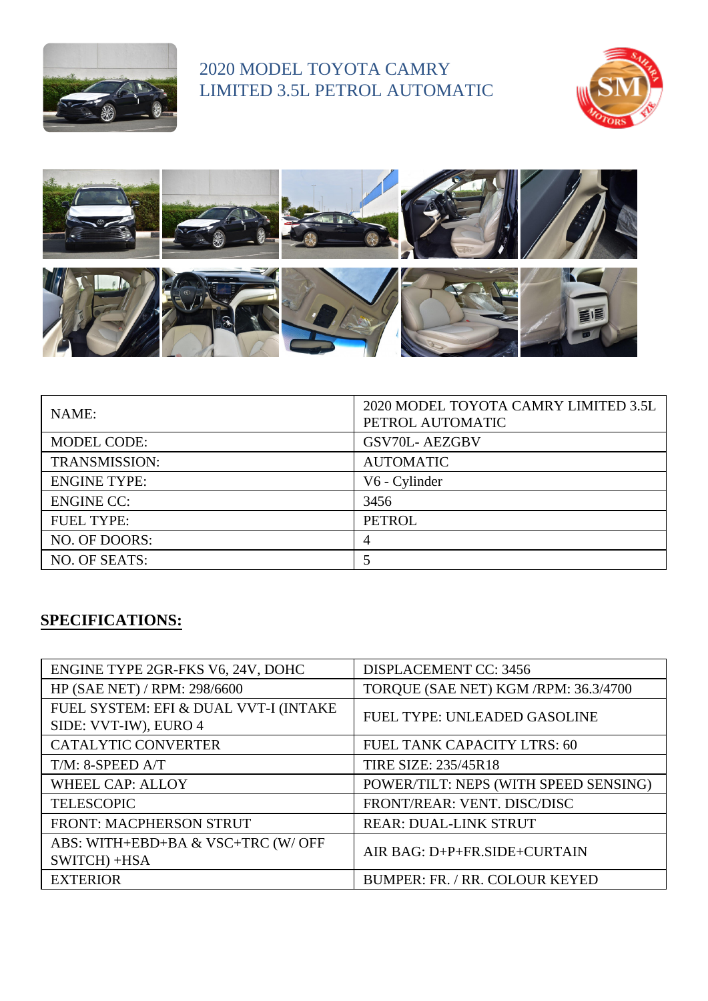

## 2020 MODEL TOYOTA CAMRY LIMITED 3.5L PETROL AUTOMATIC





| NAME:                | 2020 MODEL TOYOTA CAMRY LIMITED 3.5L<br>PETROL AUTOMATIC |
|----------------------|----------------------------------------------------------|
| <b>MODEL CODE:</b>   | <b>GSV70L-AEZGBV</b>                                     |
| <b>TRANSMISSION:</b> | <b>AUTOMATIC</b>                                         |
| <b>ENGINE TYPE:</b>  | V6 - Cylinder                                            |
| <b>ENGINE CC:</b>    | 3456                                                     |
| <b>FUEL TYPE:</b>    | <b>PETROL</b>                                            |
| NO. OF DOORS:        | 4                                                        |
| NO. OF SEATS:        |                                                          |

## **SPECIFICATIONS:**

| ENGINE TYPE 2GR-FKS V6, 24V, DOHC                              | <b>DISPLACEMENT CC: 3456</b>          |
|----------------------------------------------------------------|---------------------------------------|
| HP (SAE NET) / RPM: 298/6600                                   | TORQUE (SAE NET) KGM / RPM: 36.3/4700 |
| FUEL SYSTEM: EFI & DUAL VVT-I (INTAKE<br>SIDE: VVT-IW), EURO 4 | <b>FUEL TYPE: UNLEADED GASOLINE</b>   |
| <b>CATALYTIC CONVERTER</b>                                     | FUEL TANK CAPACITY LTRS: 60           |
| $T/M$ : 8-SPEED $A/T$                                          | <b>TIRE SIZE: 235/45R18</b>           |
| <b>WHEEL CAP: ALLOY</b>                                        | POWER/TILT: NEPS (WITH SPEED SENSING) |
| <b>TELESCOPIC</b>                                              | FRONT/REAR: VENT. DISC/DISC           |
| <b>FRONT: MACPHERSON STRUT</b>                                 | <b>REAR: DUAL-LINK STRUT</b>          |
| ABS: WITH+EBD+BA & VSC+TRC (W/ OFF<br>SWITCH) +HSA             | AIR BAG: D+P+FR.SIDE+CURTAIN          |
| <b>EXTERIOR</b>                                                | <b>BUMPER: FR. / RR. COLOUR KEYED</b> |